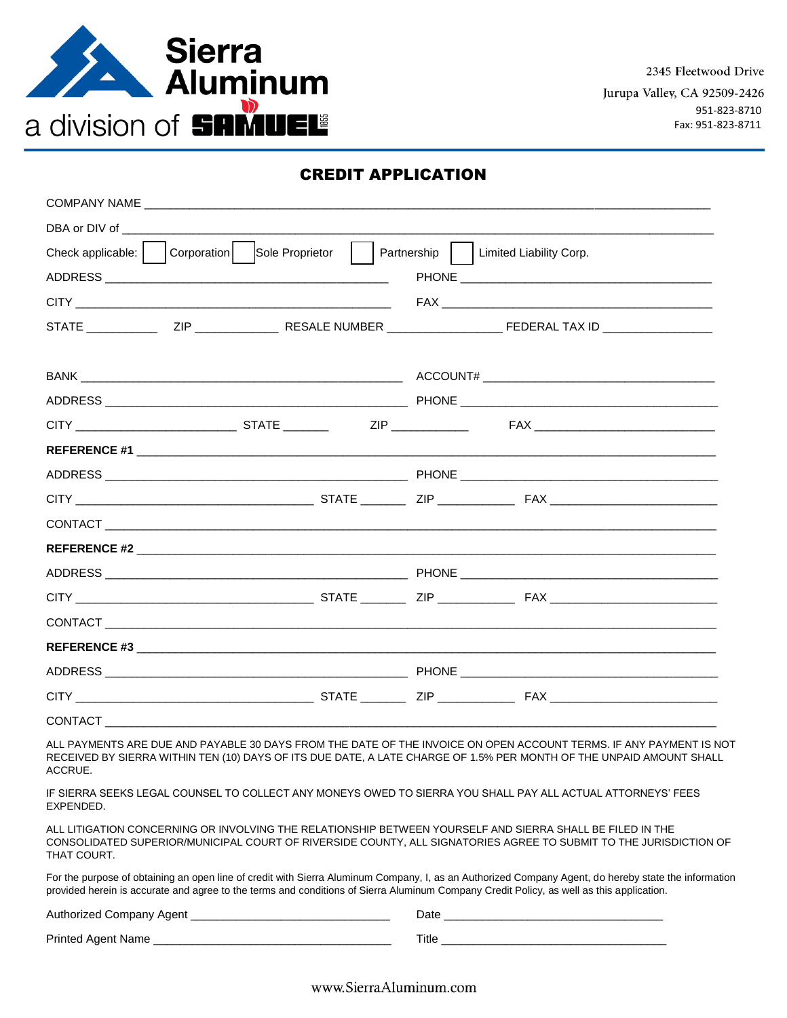

### CREDIT APPLICATION

| DBA or DIV of the contract of the contract of the contract of the contract of the contract of the contract of the contract of the contract of the contract of the contract of the contract of the contract of the contract of |                                       |
|-------------------------------------------------------------------------------------------------------------------------------------------------------------------------------------------------------------------------------|---------------------------------------|
| Check applicable:     Corporation   Sole Proprietor                                                                                                                                                                           | Partnership   Limited Liability Corp. |
|                                                                                                                                                                                                                               |                                       |
|                                                                                                                                                                                                                               |                                       |
|                                                                                                                                                                                                                               |                                       |
|                                                                                                                                                                                                                               |                                       |
|                                                                                                                                                                                                                               |                                       |
|                                                                                                                                                                                                                               |                                       |
|                                                                                                                                                                                                                               |                                       |
| REFERENCE #1 Production of the contract of the contract of the contract of the contract of the contract of the                                                                                                                |                                       |
|                                                                                                                                                                                                                               |                                       |
|                                                                                                                                                                                                                               |                                       |
|                                                                                                                                                                                                                               |                                       |
|                                                                                                                                                                                                                               |                                       |
|                                                                                                                                                                                                                               |                                       |
|                                                                                                                                                                                                                               |                                       |
|                                                                                                                                                                                                                               |                                       |
|                                                                                                                                                                                                                               |                                       |
|                                                                                                                                                                                                                               |                                       |
|                                                                                                                                                                                                                               |                                       |
|                                                                                                                                                                                                                               |                                       |

ALL PAYMENTS ARE DUE AND PAYABLE 30 DAYS FROM THE DATE OF THE INVOICE ON OPEN ACCOUNT TERMS. IF ANY PAYMENT IS NOT RECEIVED BY SIERRA WITHIN TEN (10) DAYS OF ITS DUE DATE, A LATE CHARGE OF 1.5% PER MONTH OF THE UNPAID AMOUNT SHALL ACCRUE.

IF SIERRA SEEKS LEGAL COUNSEL TO COLLECT ANY MONEYS OWED TO SIERRA YOU SHALL PAY ALL ACTUAL ATTORNEYS' FEES EXPENDED.

ALL LITIGATION CONCERNING OR INVOLVING THE RELATIONSHIP BETWEEN YOURSELF AND SIERRA SHALL BE FILED IN THE CONSOLIDATED SUPERIOR/MUNICIPAL COURT OF RIVERSIDE COUNTY, ALL SIGNATORIES AGREE TO SUBMIT TO THE JURISDICTION OF THAT COURT.

For the purpose of obtaining an open line of credit with Sierra Aluminum Company, I, as an Authorized Company Agent, do hereby state the information provided herein is accurate and agree to the terms and conditions of Sierra Aluminum Company Credit Policy, as well as this application.

Authorized Company Agent \_\_\_\_\_\_\_\_\_\_\_\_\_\_\_\_\_\_\_\_\_\_\_\_\_\_\_\_\_\_\_ Date \_\_\_\_\_\_\_\_\_\_\_\_\_\_\_\_\_\_\_\_\_\_\_\_\_\_\_\_\_\_\_\_\_\_

Printed Agent Name \_\_\_\_\_\_\_\_\_\_\_\_\_\_\_\_\_\_\_\_\_\_\_\_\_\_\_\_\_\_\_\_\_\_\_\_\_ Title \_\_\_\_\_\_\_\_\_\_\_\_\_\_\_\_\_\_\_\_\_\_\_\_\_\_\_\_\_\_\_\_\_\_\_

www.SierraAluminum.com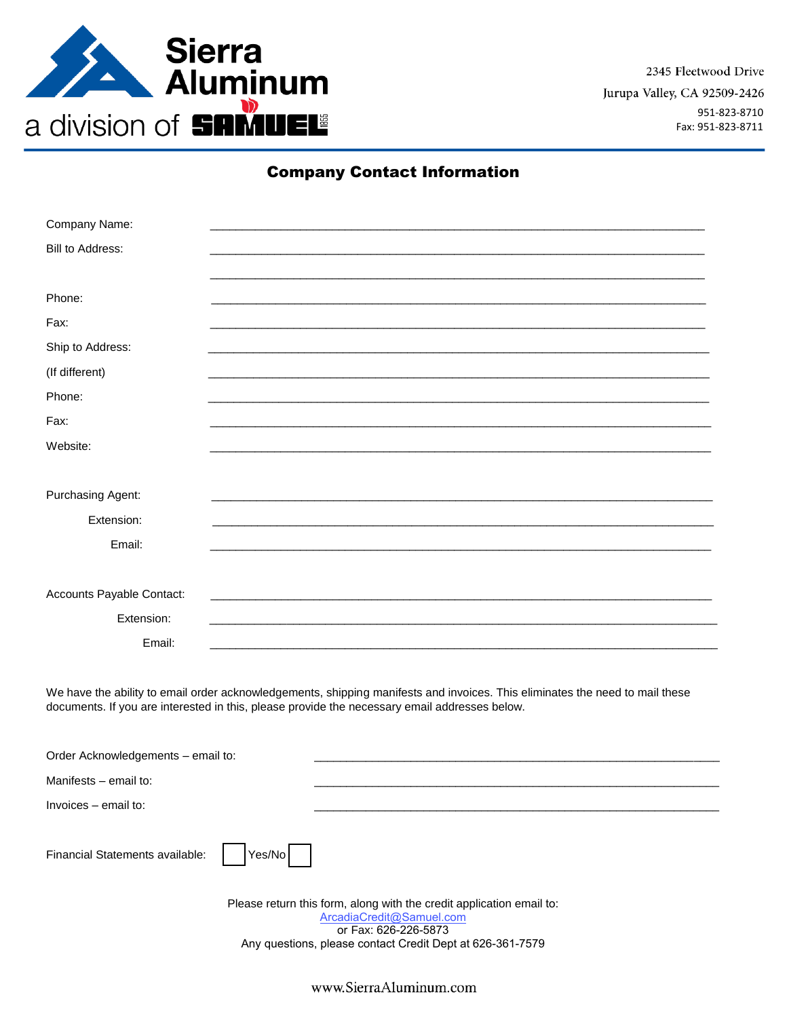

2345 Fleetwood Drive Jurupa Valley, CA 92509-2426 951-823-8710 Fax: 951-823-8711

## **Company Contact Information**

| Company Name:                                                        |                                                                                                                                                                                                                               |  |  |
|----------------------------------------------------------------------|-------------------------------------------------------------------------------------------------------------------------------------------------------------------------------------------------------------------------------|--|--|
| Bill to Address:                                                     |                                                                                                                                                                                                                               |  |  |
|                                                                      |                                                                                                                                                                                                                               |  |  |
| Phone:                                                               |                                                                                                                                                                                                                               |  |  |
| Fax:                                                                 |                                                                                                                                                                                                                               |  |  |
| Ship to Address:                                                     |                                                                                                                                                                                                                               |  |  |
| (If different)                                                       |                                                                                                                                                                                                                               |  |  |
| Phone:                                                               |                                                                                                                                                                                                                               |  |  |
| Fax:                                                                 |                                                                                                                                                                                                                               |  |  |
| Website:                                                             |                                                                                                                                                                                                                               |  |  |
|                                                                      |                                                                                                                                                                                                                               |  |  |
| Purchasing Agent:                                                    |                                                                                                                                                                                                                               |  |  |
| Extension:                                                           |                                                                                                                                                                                                                               |  |  |
| Email:                                                               |                                                                                                                                                                                                                               |  |  |
|                                                                      |                                                                                                                                                                                                                               |  |  |
| Accounts Payable Contact:                                            |                                                                                                                                                                                                                               |  |  |
| Extension:                                                           |                                                                                                                                                                                                                               |  |  |
| Email:                                                               |                                                                                                                                                                                                                               |  |  |
|                                                                      |                                                                                                                                                                                                                               |  |  |
|                                                                      | We have the ability to email order acknowledgements, shipping manifests and invoices. This eliminates the need to mail these<br>documents. If you are interested in this, please provide the necessary email addresses below. |  |  |
| Order Acknowledgements - email to:                                   |                                                                                                                                                                                                                               |  |  |
| Manifests - email to:                                                |                                                                                                                                                                                                                               |  |  |
| Invoices - email to:                                                 |                                                                                                                                                                                                                               |  |  |
|                                                                      |                                                                                                                                                                                                                               |  |  |
| Financial Statements available:                                      | Yes/No                                                                                                                                                                                                                        |  |  |
| Please return this form, along with the credit application email to: |                                                                                                                                                                                                                               |  |  |
|                                                                      | ArcadiaCredit@Samuel.com<br>or Fax: 626-226-5873                                                                                                                                                                              |  |  |
|                                                                      | Any questions, please contact Credit Dept at 626-361-7579                                                                                                                                                                     |  |  |

www.SierraAluminum.com